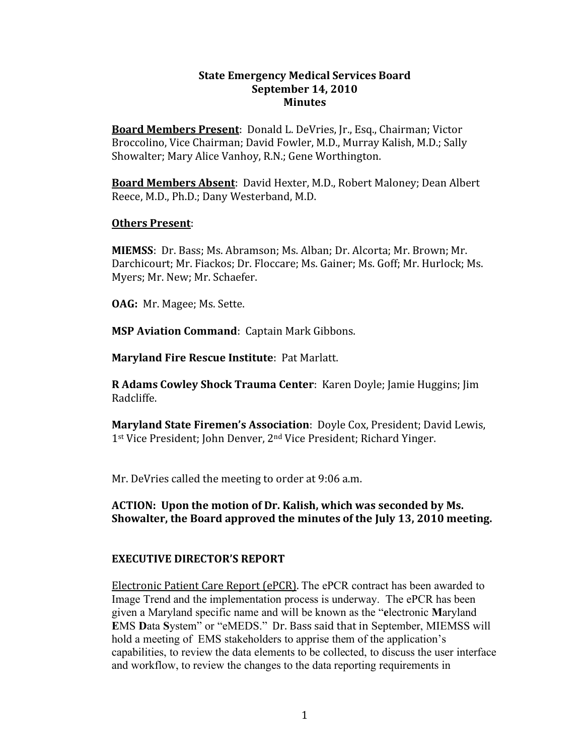#### **State
Emergency
Medical
Services Board September
14,
2010 Minutes**

Board Members Present: Donald L. DeVries, Jr., Esq., Chairman; Victor Broccolino,
Vice
Chairman;
David
Fowler,
M.D.,
Murray
Kalish,
M.D.;
Sally Showalter;
Mary
Alice
Vanhoy,
R.N.;
Gene
Worthington.

Board Members Absent: David Hexter, M.D., Robert Maloney; Dean Albert Reece,
M.D., Ph.D.;
Dany Westerband,
M.D.

#### **Others
Present**:

MIEMSS: Dr. Bass; Ms. Abramson; Ms. Alban; Dr. Alcorta; Mr. Brown; Mr. Darchicourt; Mr. Fiackos; Dr. Floccare; Ms. Gainer; Ms. Goff; Mr. Hurlock; Ms. Myers;
Mr.
New;
Mr.
Schaefer.

**OAG:** Mr. Magee; Ms. Sette.

**MSP Aviation Command: Captain Mark Gibbons.** 

**Maryland Fire Rescue Institute: Pat Marlatt.** 

**R Adams Cowley Shock Trauma Center: Karen Doyle; Jamie Huggins; Jim** Radcliffe.

Maryland State Firemen's Association: Doyle Cox, President; David Lewis, 1<sup>st</sup> Vice President; John Denver, 2<sup>nd</sup> Vice President; Richard Yinger.

Mr. DeVries called the meeting to order at 9:06 a.m.

# **ACTION:

Upon
the
motion
of
Dr.
Kalish,
which
was
seconded
by
Ms. Showalter,
the
Board
approved
the
minutes of
the
July
13,
2010 meeting.**

# **EXECUTIVE
DIRECTOR'S
REPORT**

Electronic
Patient
Care
Report
(ePCR). The ePCR contract has been awarded to Image Trend and the implementation process is underway. The ePCR has been given a Maryland specific name and will be known as the "**e**lectronic **M**aryland **E**MS **D**ata **S**ystem" or "eMEDS."Dr.
Bass
said
that
in September, MIEMSS will hold a meeting of EMS stakeholders to apprise them of the application's capabilities, to review the data elements to be collected, to discuss the user interface and workflow, to review the changes to the data reporting requirements in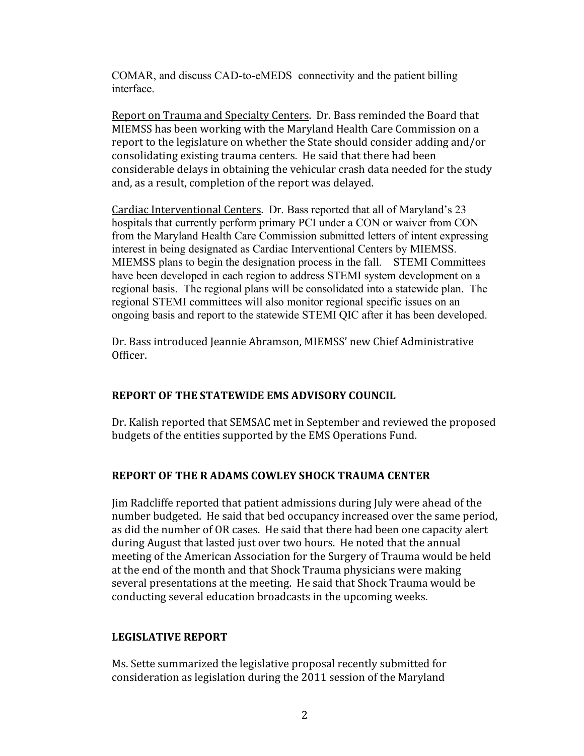COMAR, and discuss CAD-to-eMEDS connectivity and the patient billing interface.

Report
on Trauma
and
Specialty
Centers.

Dr.
Bass
reminded
the
Board
that MIEMSS
has
been
working
with
the
Maryland
Health
Care
Commission
on
a report
to
the
legislature on
whether
the
State
should
consider
adding
and/or consolidating
existing
trauma
centers.

He said
that
there
had
been considerable
delays
in
obtaining
the
vehicular
crash
data
needed
for
the
study and,
as a
result,
completion of
the
report
was
delayed.

Cardiac Interventional Centers. Dr. Bass reported that all of Maryland's 23 hospitals that currently perform primary PCI under a CON or waiver from CON from the Maryland Health Care Commission submitted letters of intent expressing interest in being designated as Cardiac Interventional Centers by MIEMSS. MIEMSS plans to begin the designation process in the fall. STEMI Committees have been developed in each region to address STEMI system development on a regional basis. The regional plans will be consolidated into a statewide plan. The regional STEMI committees will also monitor regional specific issues on an ongoing basis and report to the statewide STEMI QIC after it has been developed.

Dr.
Bass
introduced
Jeannie
Abramson,
MIEMSS'
new
Chief
Administrative Officer.

# **REPORT
OF
THE STATEWIDE
EMS
ADVISORY
COUNCIL**

Dr. Kalish
reported
that
SEMSAC
met
in
September
and
reviewed
the
proposed budgets
of
the
entities
supported
by
the
EMS
Operations
Fund.

# **REPORT
OF
THE
R ADAMS
COWLEY
SHOCK
TRAUMA
CENTER**

Jim
Radcliffe reported
that
patient
admissions
during
July
were
ahead
of
the number budgeted. He said that bed occupancy increased over the same period, as
did
the
number
of
OR
cases.

He
said
that
there
had
been
one
capacity alert during August that lasted just over two hours. He noted that the annual meeting
of
the
American
Association
for
the
Surgery of
Trauma
would
be
held at
the
end
of
the
month
and
that
Shock
Trauma
physicians
were
making several
presentations
at
the
meeting.

He
said
that
Shock
Trauma
would
be conducting
several
education
broadcasts
in
the upcoming
weeks.

# **LEGISLATIVE
REPORT**

Ms.
Sette
summarized
the legislative
proposal recently
submitted
for consideration
as
legislation
during
the
2011
session
of
the
Maryland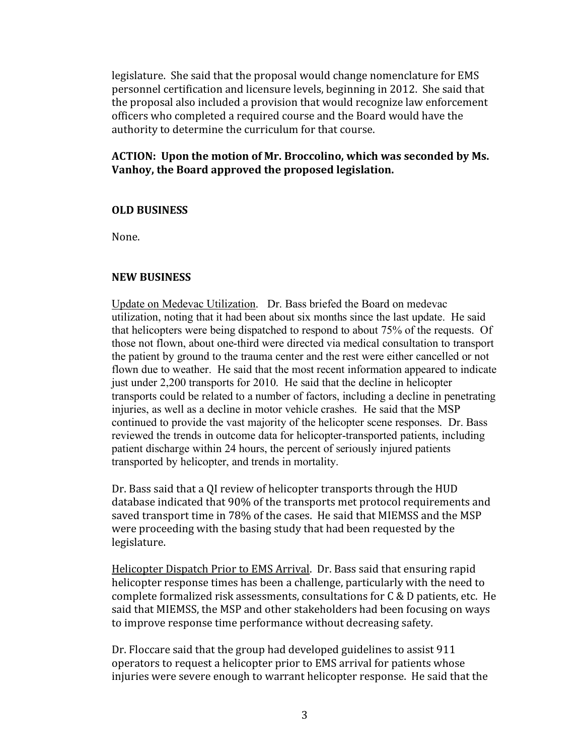legislature. She said that the proposal would change nomenclature for EMS personnel certification and
licensure
levels, beginning
in
2012.

She
said
that the
proposal
also
included
a
provision
that
would
recognize
law
enforcement officers who
completed a
required
course
and
the
Board
would
have
the authority to determine the curriculum for that course.

### ACTION: Upon the motion of Mr. Broccolino, which was seconded by Ms. **Vanhoy,
the Board
approved
the
proposed
legislation.**

#### **OLD
BUSINESS**

None.

### **NEW
BUSINESS**

Update on Medevac Utilization. Dr. Bass briefed the Board on medevac utilization, noting that it had been about six months since the last update. He said that helicopters were being dispatched to respond to about 75% of the requests. Of those not flown, about one-third were directed via medical consultation to transport the patient by ground to the trauma center and the rest were either cancelled or not flown due to weather. He said that the most recent information appeared to indicate just under 2,200 transports for 2010. He said that the decline in helicopter transports could be related to a number of factors, including a decline in penetrating injuries, as well as a decline in motor vehicle crashes. He said that the MSP continued to provide the vast majority of the helicopter scene responses. Dr. Bass reviewed the trends in outcome data for helicopter-transported patients, including patient discharge within 24 hours, the percent of seriously injured patients transported by helicopter, and trends in mortality.

Dr. Bass said that a QI review of helicopter transports through the HUD database
indicated
that 90%
of
the
transports
met
protocol requirements
and saved transport time in 78% of the cases. He said that MIEMSS and the MSP were proceeding with the basing study that had been requested by the legislature.

Helicopter Dispatch Prior to EMS Arrival. Dr. Bass said that ensuring rapid helicopter response times has been a challenge, particularly with the need to complete formalized risk assessments, consultations for C & D patients, etc. He said that MIEMSS, the MSP and other stakeholders had been focusing on ways to
improve
response
time
performance
without
decreasing
safety.

Dr.
Floccare
said
that
the
group
had
developed
guidelines
to
assist
911 operators to request a helicopter prior to EMS arrival for patients whose injuries were severe enough to warrant helicopter response. He said that the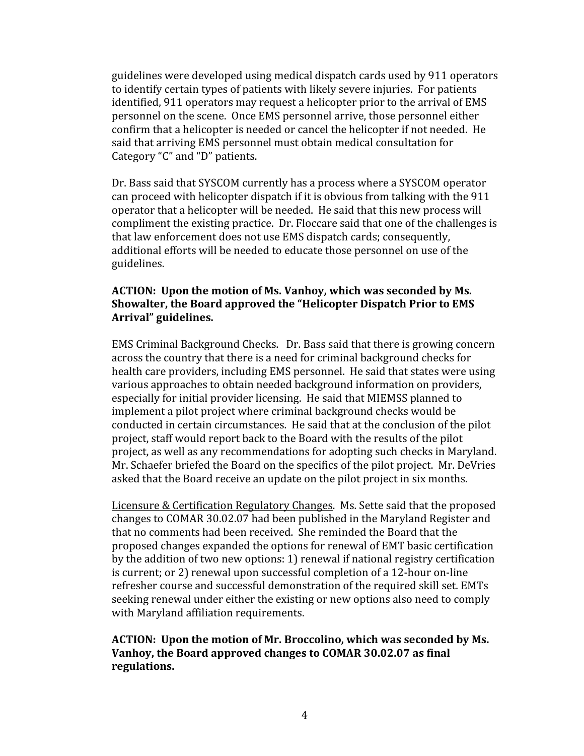guidelines
were
developed
using
medical dispatch
cards
used
by
911
operators to
identify
certain
types
of
patients
with
likely
severe
injuries.

For
patients identified,
911
operators
may
request
a
helicopter
prior to
the
arrival of
EMS personnel
on
the
scene.

Once
EMS
personnel
arrive,
those
personnel
either confirm
that
a
helicopter
is
needed
or
cancel
the
helicopter
if
not needed.

He said
that
arriving
EMS
personnel must
obtain
medical
consultation
for Category
"C"
and
"D"
patients.

Dr.
Bass
said
that
SYSCOM
currently
has
a
process
where
a
SYSCOM
operator can
proceed
with
helicopter
dispatch
if
it
is
obvious
from talking
with
the
911 operator
that
a
helicopter
will
be
needed.

He
said
that
this
new
process
will compliment
the
existing
practice.

Dr.
Floccare
said
that
one
of
the
challenges
is that
law enforcement
does
not use
EMS dispatch
cards; consequently, additional efforts will be needed to educate those personnel on use of the guidelines.

# ACTION: Upon the motion of Ms. Vanhoy, which was seconded by Ms. **Showalter,
the
Board
approved
the
"Helicopter
Dispatch
Prior
to
EMS Arrival"
guidelines.**

EMS
Criminal
Background
Checks. Dr.
Bass
said
that
there
is
growing
concern across
the
country
that
there
is
a
need
for
criminal
background
checks
for health care providers, including EMS personnel. He said that states were using various approaches to obtain needed background information on providers, especially
for
initial
provider
licensing.

He
said that
MIEMSS
planned
to implement
a
pilot
project
where
criminal
background
checks
would
be conducted
in
certain
circumstances.

He said
that
at
the
conclusion
of
the
pilot project,
staff
would
report
back
to
the
Board
with
the
results
of
the
pilot project,
as
well
as
any
recommendations
for
adopting
such
checks
in
Maryland. Mr. Schaefer briefed the Board on the specifics of the pilot project. Mr. DeVries asked
that
the
Board
receive
an
update
on
the
pilot
project
in
six
months.

Licensure
&
Certification
Regulatory
Changes.

Ms.
Sette
said
that
the
proposed changes
to
COMAR
30.02.07
had
been
published
in
the
Maryland
Register
and that
no
comments
had
been
received.

She
reminded
the
Board that
the proposed
changes
expanded
the
options
for
renewal
of
EMT
basic
certification by
the
addition
of
two
new
options:
1)
renewal
if
national
registry
certification is
current;
or
2) renewal
upon
successful
completion
of
a
12‐hour
on‐line refresher
course
and
successful
demonstration of
the
required
skill
set.
EMTs seeking renewal under either the existing or new options also need to comply with
Maryland
affiliation
requirements.

### ACTION: Upon the motion of Mr. Broccolino, which was seconded by Ms. **Vanhoy,
the Board
approved
changes
to
COMAR
30.02.07
as
final regulations.**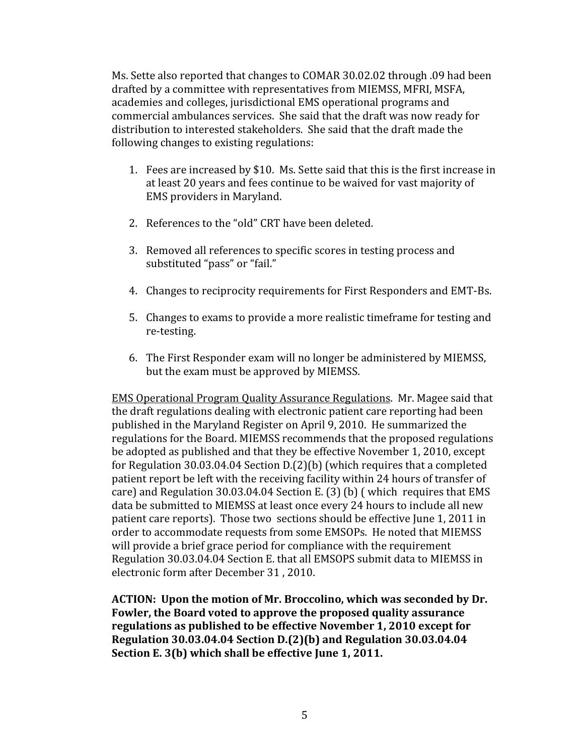Ms.
Sette
also
reported
that
changes
to
COMAR
30.02.02
through
.09 had
been drafted
by
a
committee
with
representatives
from
MIEMSS,
MFRI,
MSFA, academies and
colleges,
jurisdictional
EMS
operational
programs
and commercial
ambulances
services.

She said
that
the
draft
was
now
ready
for distribution
to
interested
stakeholders.

She
said
that
the
draft
made
the following
changes
to
existing
regulations:

- 1. Fees are increased
by
\$10.

Ms.
Sette
said
that
this
is
the
first increase
in at
least
20
years
and
fees continue
to
be
waived
for
vast
majority
of EMS
providers
in
Maryland.
- 2. References to the "old" CRT have been deleted.
- 3. Removed
all
references
to
specific scores
in
testing
process
and substituted "pass" or "fail."
- 4. Changes
to
reciprocity
requirements
for
First
Responders
and
EMT‐Bs.
- 5. Changes
to
exams
to
provide
a
more
realistic
timeframe
for
testing
and re‐testing.
- 6. The
First
Responder
exam
will
no
longer
be
administered
by
MIEMSS, but the
exam
must
be
approved
by
MIEMSS.

EMS
Operational
Program
Quality
Assurance
Regulations.

Mr.
Magee
said
that the
draft
regulations
dealing
with
electronic
patient
care
reporting
had
been published
in
the
Maryland
Register
on
April
9, 2010.

He
summarized
the regulations
for
the
Board.
MIEMSS recommends
that
the
proposed
regulations be
adopted
as
published
and
that
they
be effective
November
1,
2010,
except for Regulation 30.03.04.04 Section D.(2)(b) (which requires that a completed patient
report
be
left
with
the
receiving
facility within
24
hours
of
transfer
of care)
and
Regulation
30.03.04.04
Section
E.
(3) (b)
(
which

requires
that
EMS data be submitted to MIEMSS at least once every 24 hours to include all new patient
care
reports).

Those
two

sections
should
be
effective
June
1,
2011
in order
to
accommodate
requests
from
some
EMSOPs.

He
noted
that
MIEMSS will provide a brief grace period for compliance with the requirement Regulation 30.03.04.04 Section E. that all EMSOPS submit data to MIEMSS in electronic
form
after
December
31
,
2010.

**ACTION:

Upon
the motion
of
Mr.
Broccolino,
which
was
seconded
by
Dr. Fowler,
the
Board voted
to
approve
the
proposed
quality
assurance regulations
as
published
to
be
effective
November 1, 2010
except
for Regulation
30.03.04.04
Section
D.(2)(b)
and Regulation
30.03.04.04 Section
E.
3(b)
which
shall
be effective
June 1,
2011.**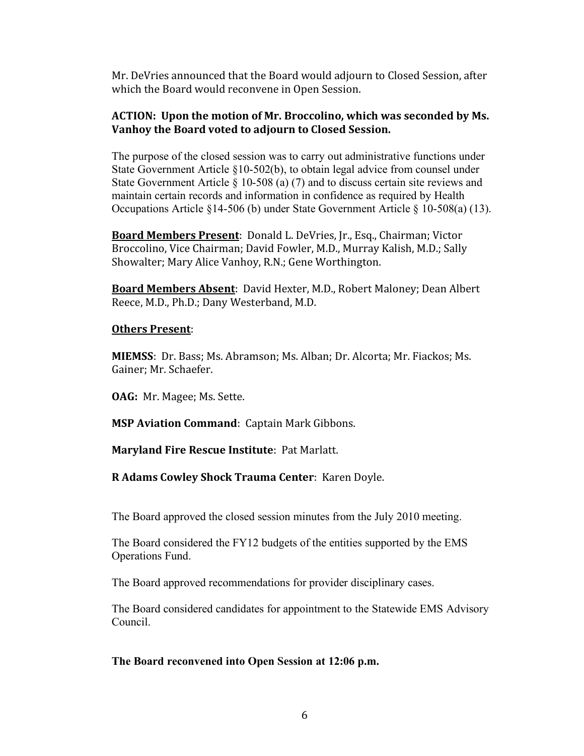Mr. DeVries announced that the Board would adjourn to Closed Session, after which the Board would reconvene in Open Session.

# ACTION: Upon the motion of Mr. Broccolino, which was seconded by Ms. **Vanhoy
the
Board voted
to
adjourn
to
Closed
Session.**

The purpose of the closed session was to carry out administrative functions under State Government Article §10-502(b), to obtain legal advice from counsel under State Government Article § 10-508 (a) (7) and to discuss certain site reviews and maintain certain records and information in confidence as required by Health Occupations Article §14-506 (b) under State Government Article § 10-508(a) (13).

Board Members Present: Donald L. DeVries, Jr., Esq., Chairman; Victor Broccolino,
Vice
Chairman;
David
Fowler,
M.D.,
Murray
Kalish,
M.D.;
Sally Showalter;
Mary
Alice
Vanhoy,
R.N.;
Gene
Worthington.

**Board
Members
Absent**:

David
Hexter,
M.D.,
Robert
Maloney;
Dean
Albert Reece,
M.D., Ph.D.;
Dany Westerband,
M.D.

# **Others
Present**:

**MIEMSS**: Dr. Bass; Ms. Abramson; Ms. Alban; Dr. Alcorta; Mr. Fiackos; Ms. Gainer;
Mr.
Schaefer.

**OAG:** Mr. Magee; Ms. Sette.

**MSP Aviation Command: Captain Mark Gibbons.** 

Maryland Fire Rescue Institute: Pat Marlatt.

# **R
Adams Cowley
Shock
Trauma
Center**:

Karen
Doyle.

The Board approved the closed session minutes from the July 2010 meeting.

The Board considered the FY12 budgets of the entities supported by the EMS Operations Fund.

The Board approved recommendations for provider disciplinary cases.

The Board considered candidates for appointment to the Statewide EMS Advisory Council.

#### **The Board reconvened into Open Session at 12:06 p.m.**